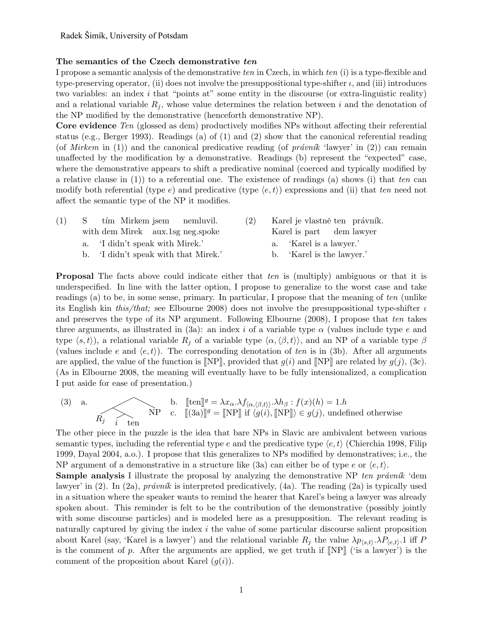## The semantics of the Czech demonstrative *ten*

I propose a semantic analysis of the demonstrative *ten* in Czech, in which *ten* (i) is a type-flexible and type-preserving operator, (ii) does not involve the presuppositional type-shifter  $\iota$ , and (iii) introduces two variables: an index *i* that "points at" some entity in the discourse (or extra-linguistic reality) and a relational variable  $R_j$ , whose value determines the relation between  $i$  and the denotation of the NP modified by the demonstrative (henceforth demonstrative NP).

Core evidence *Ten* (glossed as dem) productively modifies NPs without affecting their referential status (e.g., Berger 1993). Readings (a) of (1) and (2) show that the canonical referential reading (of *Mirkem* in (1)) and the canonical predicative reading (of *pravnak* 'lawyer' in (2)) can remain unaffected by the modification by a demonstrative. Readings (b) represent the "expected" case, where the demonstrative appears to shift a predicative nominal (coerced and typically modified by a relative clause in (1)) to a referential one. The existence of readings (a) shows (i) that *ten* can modify both referential (type  $e$ ) and predicative (type  $\langle e, t \rangle$ ) expressions and (ii) that *ten* need not affect the semantic type of the NP it modifies.

| (1) | S tím Mirkem jsem nemluvil.          | (2) | Karel je vlastně ten právník. |  |
|-----|--------------------------------------|-----|-------------------------------|--|
|     | with dem Mirek aux.1sg neg.spoke     |     | Karel is part dem lawyer      |  |
|     | a. 'I didn't speak with Mirek.'      |     | a. 'Karel is a lawyer.'       |  |
|     | b. 'I didn't speak with that Mirek.' |     | b. 'Karel is the lawyer.'     |  |

Proposal The facts above could indicate either that *ten* is (multiply) ambiguous or that it is underspecified. In line with the latter option, I propose to generalize to the worst case and take readings (a) to be, in some sense, primary. In particular, I propose that the meaning of *ten* (unlike its English kin *this/that;* see Elbourne 2008) does not involve the presuppositional type-shifter  $\iota$ and preserves the type of its NP argument. Following Elbourne (2008), I propose that *ten* takes three arguments, as illustrated in  $(3a)$ : an index *i* of a variable type  $\alpha$  (values include type  $e$  and type  $\langle s, t \rangle$ , a relational variable  $R_j$  of a variable type  $\langle \alpha, \langle \beta, t \rangle \rangle$ , and an NP of a variable type  $\beta$ (values include *e* and  $\langle e, t \rangle$ ). The corresponding denotation of *ten* is in (3b). After all arguments are applied, the value of the function is  $[NP]$ , provided that  $g(i)$  and  $[NP]$  are related by  $g(j)$ , (3c). (As in Elbourne 2008, the meaning will eventually have to be fully intensionalized, a complication I put aside for ease of presentation.)

(3) a.   
\n
$$
R_j \longrightarrow_{\text{ten}} \text{NP} \quad \text{c. } \quad [[\text{tan}]^g = \lambda x_\alpha . \lambda f_{\langle \alpha, \langle \beta, t \rangle \rangle} . \lambda h_\beta : f(x)(h) = 1.h
$$
\n
$$
R_j \longrightarrow_{\text{ten}} \text{NP} \quad \text{c. } \quad [[(3a)]^g = [\text{NP}] \text{ if } \langle g(i), [\text{NP}] \rangle \in g(j), \text{ undefined otherwise}
$$

The other piece in the puzzle is the idea that bare NPs in Slavic are ambivalent between various semantic types, including the referential type *e* and the predicative type  $\langle e, t \rangle$  (Chierchia 1998, Filip 1999, Dayal 2004, a.o.). I propose that this generalizes to NPs modified by demonstratives; i.e., the NP argument of a demonstrative in a structure like (3a) can either be of type *e* or  $\langle e, t \rangle$ .

**Sample analysis** I illustrate the proposal by analyzing the demonstrative NP *ten právník* 'dem lawyer' in  $(2)$ . In  $(2a)$ , *právník* is interpreted predicatively,  $(4a)$ . The reading  $(2a)$  is typically used in a situation where the speaker wants to remind the hearer that Karel's being a lawyer was already spoken about. This reminder is felt to be the contribution of the demonstrative (possibly jointly with some discourse particles) and is modeled here as a presupposition. The relevant reading is naturally captured by giving the index *i* the value of some particular discourse salient proposition about Karel (say, 'Karel is a lawyer') and the relational variable  $R_j$  the value  $\lambda p_{(s,t)} \cdot \lambda P_{(e,t)}$ . 1 iff P is the comment of *p*. After the arguments are applied, we get truth if [[NP]] ('is a lawyer') is the comment of the proposition about Karel  $(g(i))$ .